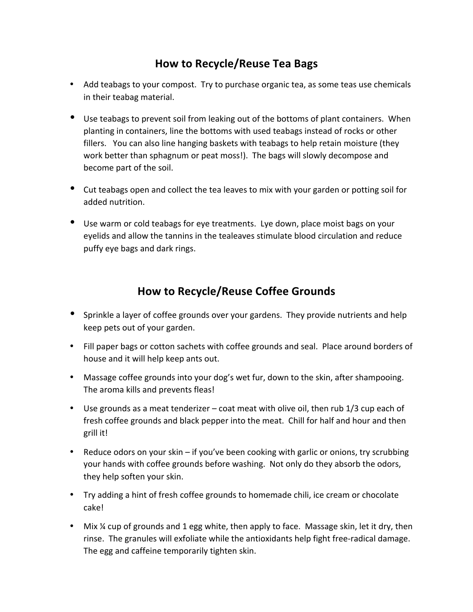## **How to Recycle/Reuse Tea Bags**

- Add teabags to your compost. Try to purchase organic tea, as some teas use chemicals in their teabag material.
- Use teabags to prevent soil from leaking out of the bottoms of plant containers. When planting in containers, line the bottoms with used teabags instead of rocks or other fillers. You can also line hanging baskets with teabags to help retain moisture (they work better than sphagnum or peat moss!). The bags will slowly decompose and become part of the soil.
- Cut teabags open and collect the tea leaves to mix with your garden or potting soil for added nutrition.
- Use warm or cold teabags for eye treatments. Lye down, place moist bags on your eyelids and allow the tannins in the tealeaves stimulate blood circulation and reduce puffy eye bags and dark rings.

## **How to Recycle/Reuse Coffee Grounds**

- Sprinkle a layer of coffee grounds over your gardens. They provide nutrients and help keep pets out of your garden.
- Fill paper bags or cotton sachets with coffee grounds and seal. Place around borders of house and it will help keep ants out.
- Massage coffee grounds into your dog's wet fur, down to the skin, after shampooing. The aroma kills and prevents fleas!
- Use grounds as a meat tenderizer coat meat with olive oil, then rub  $1/3$  cup each of fresh coffee grounds and black pepper into the meat. Chill for half and hour and then grill it!
- Reduce odors on your skin if you've been cooking with garlic or onions, try scrubbing your hands with coffee grounds before washing. Not only do they absorb the odors, they help soften your skin.
- Try adding a hint of fresh coffee grounds to homemade chili, ice cream or chocolate cake!
- Mix % cup of grounds and 1 egg white, then apply to face. Massage skin, let it dry, then rinse. The granules will exfoliate while the antioxidants help fight free-radical damage. The egg and caffeine temporarily tighten skin.